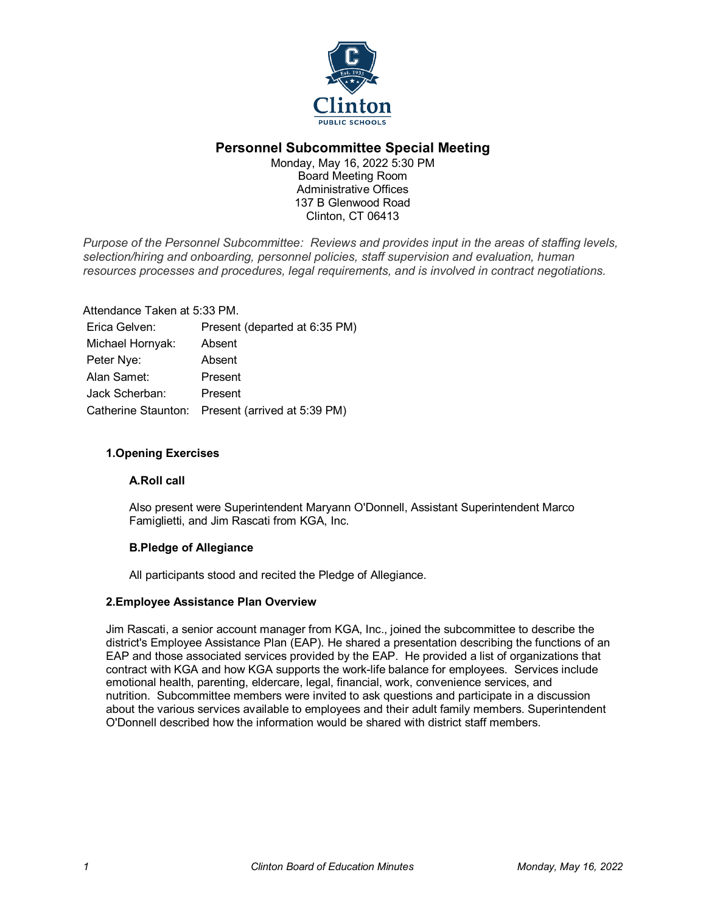

# **Personnel Subcommittee Special Meeting**

Monday, May 16, 2022 5:30 PM Board Meeting Room Administrative Offices 137 B Glenwood Road Clinton, CT 06413

*Purpose of the Personnel Subcommittee: Reviews and provides input in the areas of staffing levels, selection/hiring and onboarding, personnel policies, staff supervision and evaluation, human resources processes and procedures, legal requirements, and is involved in contract negotiations.*

Attendance Taken at 5:33 PM. Erica Gelven: Present (departed at 6:35 PM) Michael Hornyak: Absent Peter Nye: Absent Alan Samet: Present Jack Scherban: Present Catherine Staunton: Present (arrived at 5:39 PM)

# **1.Opening Exercises**

# **A.Roll call**

Also present were Superintendent Maryann O'Donnell, Assistant Superintendent Marco Famiglietti, and Jim Rascati from KGA, Inc.

# **B.Pledge of Allegiance**

All participants stood and recited the Pledge of Allegiance.

# **2.Employee Assistance Plan Overview**

Jim Rascati, a senior account manager from KGA, Inc., joined the subcommittee to describe the district's Employee Assistance Plan (EAP). He shared a presentation describing the functions of an EAP and those associated services provided by the EAP. He provided a list of organizations that contract with KGA and how KGA supports the work-life balance for employees. Services include emotional health, parenting, eldercare, legal, financial, work, convenience services, and nutrition. Subcommittee members were invited to ask questions and participate in a discussion about the various services available to employees and their adult family members. Superintendent O'Donnell described how the information would be shared with district staff members.